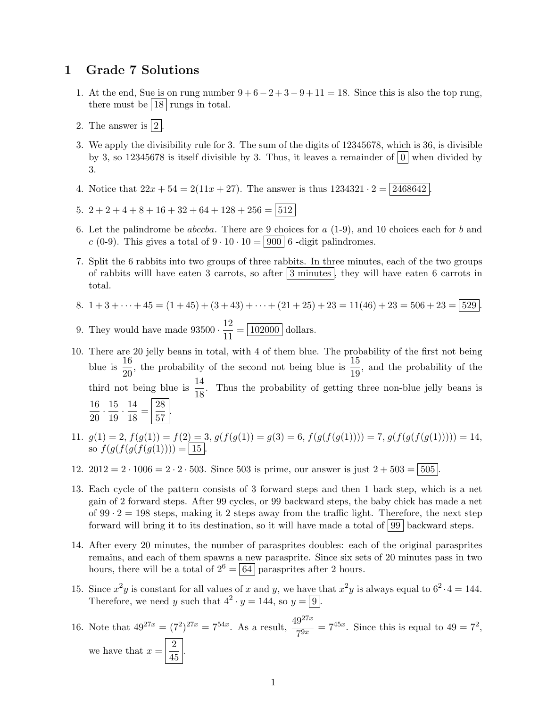## 1 Grade 7 Solutions

- 1. At the end, Sue is on rung number  $9 + 6 2 + 3 9 + 11 = 18$ . Since this is also the top rung, there must be  $|18|$  rungs in total.
- 2. The answer is  $|2|$ .
- 3. We apply the divisibility rule for 3. The sum of the digits of 12345678, which is 36, is divisible by 3, so 12345678 is itself divisible by 3. Thus, it leaves a remainder of  $|0|$  when divided by 3.
- 4. Notice that  $22x + 54 = 2(11x + 27)$ . The answer is thus  $1234321 \cdot 2 = |2468642|$

5. 
$$
2+2+4+8+16+32+64+128+256 = |512|
$$

- 6. Let the palindrome be *abccba*. There are 9 choices for  $a(1-9)$ , and 10 choices each for b and c (0-9). This gives a total of  $9 \cdot 10 \cdot 10 = |900|$  6 -digit palindromes.
- 7. Split the 6 rabbits into two groups of three rabbits. In three minutes, each of the two groups of rabbits will have eaten 3 carrots, so after  $|3 \text{ minutes}|$ , they will have eaten 6 carrots in total.
- 8.  $1+3+\cdots+45 = (1+45)+(3+43)+\cdots+(21+25)+23 = 11(46)+23 = 506+23 = 529$
- 9. They would have made  $93500 \cdot \frac{12}{11}$  $\frac{12}{11} = \boxed{102000}$  dollars.
- 10. There are 20 jelly beans in total, with 4 of them blue. The probability of the first not being blue is  $\frac{16}{20}$ , the probability of the second not being blue is  $\frac{15}{19}$ , and the probability of the third not being blue is  $\frac{14}{18}$ . Thus the probability of getting three non-blue jelly beans is 16  $\frac{16}{20} \cdot \frac{15}{19}$  $\frac{15}{19} \cdot \frac{14}{18}$  $\frac{14}{18} = \frac{28}{57}$  $rac{20}{57}$ .
- 11.  $g(1) = 2$ ,  $f(g(1)) = f(2) = 3$ ,  $g(f(g(1)) = g(3) = 6$ ,  $f(g(f(g(1)))) = 7$ ,  $g(f(g(f(g(1)))) = 14$ , so  $f(g(f(g(f(g(1)))) = | 15 |.$
- 12.  $2012 = 2 \cdot 1006 = 2 \cdot 2 \cdot 503$ . Since 503 is prime, our answer is just  $2 + 503 = |505|$
- 13. Each cycle of the pattern consists of 3 forward steps and then 1 back step, which is a net gain of 2 forward steps. After 99 cycles, or 99 backward steps, the baby chick has made a net of  $99 \cdot 2 = 198$  steps, making it 2 steps away from the traffic light. Therefore, the next step forward will bring it to its destination, so it will have made a total of  $99$  backward steps.
- 14. After every 20 minutes, the number of parasprites doubles: each of the original parasprites remains, and each of them spawns a new parasprite. Since six sets of 20 minutes pass in two hours, there will be a total of  $2^6 = 64$  parasprites after 2 hours.
- 15. Since  $x^2y$  is constant for all values of x and y, we have that  $x^2y$  is always equal to  $6^2 \cdot 4 = 144$ . Therefore, we need y such that  $4^2 \cdot y = 144$ , so  $y = 9$ .
- 16. Note that  $49^{27x} = (7^2)^{27x} = 7^{54x}$ . As a result,  $\frac{49^{27x}}{7^{9x}} = 7^{45x}$ . Since this is equal to  $49 = 7^2$ , we have that  $x = \frac{2}{15}$  $rac{2}{45}$ .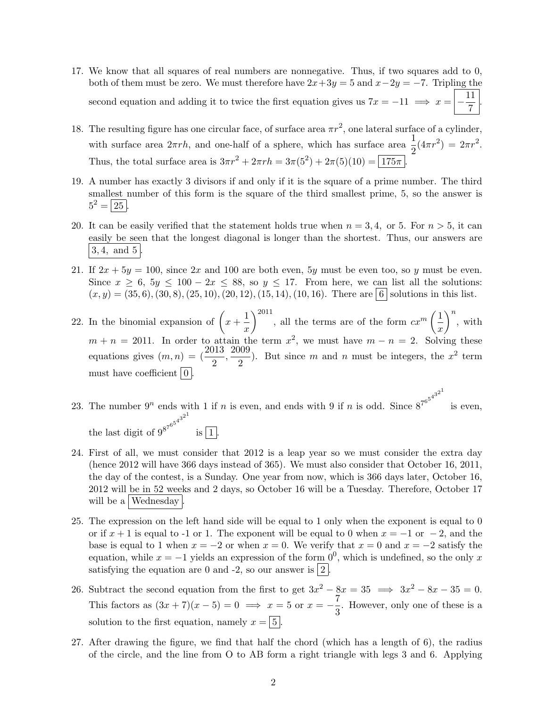- 17. We know that all squares of real numbers are nonnegative. Thus, if two squares add to 0, both of them must be zero. We must therefore have  $2x+3y=5$  and  $x-2y=-7$ . Tripling the second equation and adding it to twice the first equation gives us  $7x = -11 \implies x = \frac{11}{7}$  $\frac{1}{7}$
- 18. The resulting figure has one circular face, of surface area  $\pi r^2$ , one lateral surface of a cylinder, with surface area  $2\pi rh$ , and one-half of a sphere, which has surface area  $\frac{1}{2}(4\pi r^2) = 2\pi r^2$ . Thus, the total surface area is  $3\pi r^2 + 2\pi rh = 3\pi (5^2) + 2\pi (5)(10) = 175\pi$ .
- 19. A number has exactly 3 divisors if and only if it is the square of a prime number. The third smallest number of this form is the square of the third smallest prime, 5, so the answer is  $5^2 = 25$ .
- 20. It can be easily verified that the statement holds true when  $n = 3, 4$ , or 5. For  $n > 5$ , it can easily be seen that the longest diagonal is longer than the shortest. Thus, our answers are  $3, 4, \text{ and } 5$ .
- 21. If  $2x + 5y = 100$ , since  $2x$  and 100 are both even, 5y must be even too, so y must be even. Since  $x \ge 6$ ,  $5y \le 100 - 2x \le 88$ , so  $y \le 17$ . From here, we can list all the solutions:  $(x, y) = (35, 6), (30, 8), (25, 10), (20, 12), (15, 14), (10, 16).$  There are 6 solutions in this list.
- 22. In the binomial expansion of  $\left(x + \frac{1}{x}\right)$  $\boldsymbol{x}$  $\sum_{n=1}^{\infty}$  all the terms are of the form  $cx^m\left(\frac{1}{x}\right)$  $\boldsymbol{x}$  $\Big)^n$ , with  $m + n = 2011$ . In order to attain the term  $x^2$ , we must have  $m - n = 2$ . Solving these equations gives  $(m, n) = (\frac{2013}{2}, \frac{2009}{2})$  $\frac{1}{2}$ ). But since m and n must be integers, the  $x^2$  term must have coefficient  $\vert 0 \vert$ .

23. The number  $9^n$  ends with 1 if n is even, and ends with 9 if n is odd. Since  $8^{7^{6^{5^{4^{3^{2}}}}}}$ is even, the last digit of  $9^{8^{7^{6^5}}}$  $4^{3^{2^{1}}}$ is  $\boxed{1}$ 

- 24. First of all, we must consider that 2012 is a leap year so we must consider the extra day (hence 2012 will have 366 days instead of 365). We must also consider that October 16, 2011, the day of the contest, is a Sunday. One year from now, which is 366 days later, October 16, 2012 will be in 52 weeks and 2 days, so October 16 will be a Tuesday. Therefore, October 17 will be a Wednesday
- 25. The expression on the left hand side will be equal to 1 only when the exponent is equal to 0 or if  $x + 1$  is equal to -1 or 1. The exponent will be equal to 0 when  $x = -1$  or  $-2$ , and the base is equal to 1 when  $x = -2$  or when  $x = 0$ . We verify that  $x = 0$  and  $x = -2$  satisfy the equation, while  $x = -1$  yields an expression of the form  $0^0$ , which is undefined, so the only x satisfying the equation are 0 and -2, so our answer is  $\boxed{2}$
- 26. Subtract the second equation from the first to get  $3x^2 8x = 35 \implies 3x^2 8x 35 = 0$ . This factors as  $(3x + 7)(x - 5) = 0 \implies x = 5$  or  $x = -\frac{7}{8}$  $\frac{1}{3}$ . However, only one of these is a solution to the first equation, namely  $x = |5|$
- 27. After drawing the figure, we find that half the chord (which has a length of 6), the radius of the circle, and the line from O to AB form a right triangle with legs 3 and 6. Applying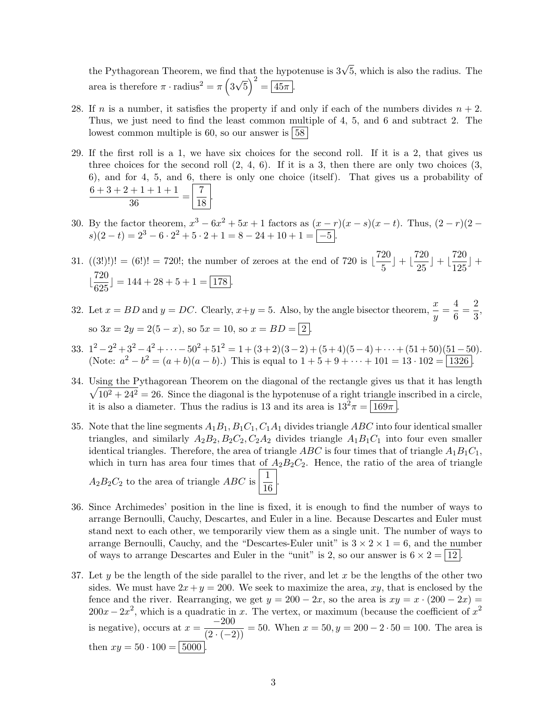the Pythagorean Theorem, we find that the hypotenuse is  $3\sqrt{5}$ , which is also the radius. The area is therefore  $\pi \cdot \text{radius}^2 = \pi \left(3\right)$ √  $\overline{5}$ )<sup>2</sup> =  $\overline{45\pi}$ .

- 28. If n is a number, it satisfies the property if and only if each of the numbers divides  $n + 2$ . Thus, we just need to find the least common multiple of 4, 5, and 6 and subtract 2. The lowest common multiple is 60, so our answer is  $58$
- 29. If the first roll is a 1, we have six choices for the second roll. If it is a 2, that gives us three choices for the second roll  $(2, 4, 6)$ . If it is a 3, then there are only two choices  $(3, 4, 6)$ . 6), and for 4, 5, and 6, there is only one choice (itself). That gives us a probability of  $6+3+2+1+1+1$  $\frac{+1+1+1}{36} = \frac{7}{18}$  $\frac{1}{18}$ .
- 30. By the factor theorem,  $x^3 6x^2 + 5x + 1$  factors as  $(x r)(x s)(x t)$ . Thus,  $(2 r)(2$  $s(2-t) = 2^3 - 6 \cdot 2^2 + 5 \cdot 2 + 1 = 8 - 24 + 10 + 1 = \boxed{-5}.$
- 31.  $((3!)!) = (6!) = 720!$ ; the number of zeroes at the end of 720 is  $\frac{720}{5}$  $\left(\frac{20}{5}\right) + \left(\frac{720}{25}\right)$  $\left(\frac{720}{25}\right) + \left(\frac{720}{125}\right)$  $\frac{126}{125}$  +  $\frac{720}{205}$  $\frac{128}{625}$ ] = 144 + 28 + 5 + 1 =  $\boxed{178}$ .
- 32. Let  $x = BD$  and  $y = DC$ . Clearly,  $x+y = 5$ . Also, by the angle bisector theorem,  $\frac{x}{y} = \frac{4}{6}$  $\frac{4}{6} = \frac{2}{3}$  $\frac{1}{3}$ so  $3x = 2y = 2(5 - x)$ , so  $5x = 10$ , so  $x = BD = \boxed{2}$
- 33.  $1^2 2^2 + 3^2 4^2 + \cdots 50^2 + 51^2 = 1 + (3+2)(3-2) + (5+4)(5-4) + \cdots + (51+50)(51-50)$ . (Note:  $a^2 - b^2 = (a + b)(a - b)$ .) This is equal to  $1 + 5 + 9 + \cdots + 101 = 13 \cdot 102 = \boxed{1326}$ .
- 34. Using the Pythagorean Theorem on the diagonal of the rectangle gives us that it has length  $\sqrt{10^2 + 24^2} = 26$ . Since the diagonal is the hypotenuse of a right triangle inscribed in a circle, it is also a diameter. Thus the radius is 13 and its area is  $13^{2}\pi = \boxed{169\pi}$ .
- 35. Note that the line segments  $A_1B_1, B_1C_1, C_1A_1$  divides triangle ABC into four identical smaller triangles, and similarly  $A_2B_2, B_2C_2, C_2A_2$  divides triangle  $A_1B_1C_1$  into four even smaller identical triangles. Therefore, the area of triangle ABC is four times that of triangle  $A_1B_1C_1$ , which in turn has area four times that of  $A_2B_2C_2$ . Hence, the ratio of the area of triangle  $A_2B_2C_2$  to the area of triangle ABC is  $\frac{1}{16}$  $\frac{1}{16}$ .
- 36. Since Archimedes' position in the line is fixed, it is enough to find the number of ways to arrange Bernoulli, Cauchy, Descartes, and Euler in a line. Because Descartes and Euler must stand next to each other, we temporarily view them as a single unit. The number of ways to arrange Bernoulli, Cauchy, and the "Descartes-Euler unit" is  $3 \times 2 \times 1 = 6$ , and the number of ways to arrange Descartes and Euler in the "unit" is 2, so our answer is  $6 \times 2 = |12|$ .
- 37. Let  $y$  be the length of the side parallel to the river, and let x be the lengths of the other two sides. We must have  $2x + y = 200$ . We seek to maximize the area, xy, that is enclosed by the fence and the river. Rearranging, we get  $y = 200 - 2x$ , so the area is  $xy = x \cdot (200 - 2x) =$  $200x - 2x^2$ , which is a quadratic in x. The vertex, or maximum (because the coefficient of  $x^2$ is negative), occurs at  $x = \frac{-200}{(2 \cdot (-2))} = 50$ . When  $x = 50$ ,  $y = 200 - 2 \cdot 50 = 100$ . The area is then  $xy = 50 \cdot 100 = | 5000 |$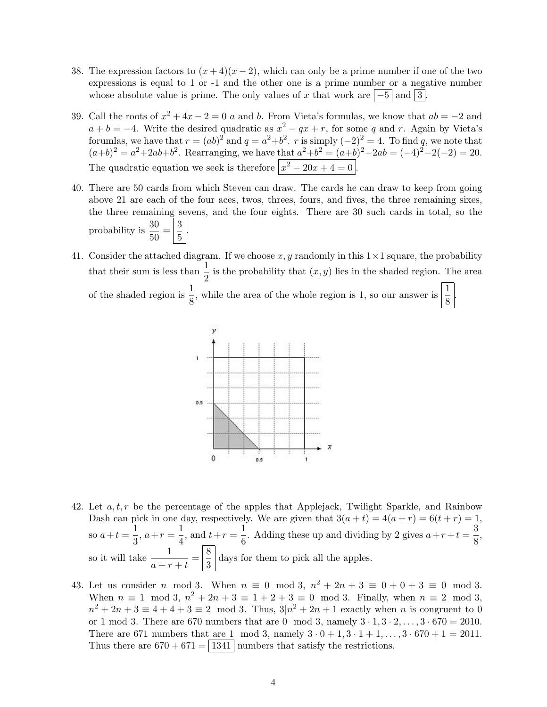- 38. The expression factors to  $(x+4)(x-2)$ , which can only be a prime number if one of the two expressions is equal to 1 or -1 and the other one is a prime number or a negative number whose absolute value is prime. The only values of x that work are  $\vert -5 \vert$  and  $\vert 3 \vert$ .
- 39. Call the roots of  $x^2 + 4x 2 = 0$  a and b. From Vieta's formulas, we know that  $ab = -2$  and  $a + b = -4$ . Write the desired quadratic as  $x^2 - qx + r$ , for some q and r. Again by Vieta's forumlas, we have that  $r = (ab)^2$  and  $q = a^2+b^2$ . r is simply  $(-2)^2 = 4$ . To find q, we note that  $(a+b)^2 = a^2+2ab+b^2$ . Rearranging, we have that  $a^2+b^2 = (a+b)^2-2ab = (-4)^2-2(-2) = 20$ . The quadratic equation we seek is therefore  $\left| x^2 - 20x + 4 = 0 \right|$ .
- 40. There are 50 cards from which Steven can draw. The cards he can draw to keep from going above 21 are each of the four aces, twos, threes, fours, and fives, the three remaining sixes, the three remaining sevens, and the four eights. There are 30 such cards in total, so the probability is  $\frac{30}{50} = \left| \frac{3}{5} \right|$  $\frac{5}{5}$ .
- 41. Consider the attached diagram. If we choose x, y randomly in this  $1 \times 1$  square, the probability that their sum is less than  $\frac{1}{2}$  is the probability that  $(x, y)$  lies in the shaded region. The area of the shaded region is  $\frac{1}{8}$ , while the area of the whole region is 1, so our answer is  $\frac{1}{8}$ .



- 42. Let  $a, t, r$  be the percentage of the apples that Applejack, Twilight Sparkle, and Rainbow Dash can pick in one day, respectively. We are given that  $3(a + t) = 4(a + r) = 6(t + r) = 1$ , so  $a+t=\frac{1}{2}$  $\frac{1}{3}$ ,  $a+r=\frac{1}{4}$  $\frac{1}{4}$ , and  $t + r = \frac{1}{6}$  $\frac{1}{6}$ . Adding these up and dividing by 2 gives  $a+r+t=\frac{3}{8}$  $\frac{8}{8}$ so it will take  $\frac{1}{a+r+t} = \left|\frac{8}{3}\right|$  $\frac{3}{3}$  days for them to pick all the apples.
- 43. Let us consider *n* mod 3. When  $n \equiv 0 \mod 3$ ,  $n^2 + 2n + 3 \equiv 0 + 0 + 3 \equiv 0 \mod 3$ . When  $n \equiv 1 \mod 3$ ,  $n^2 + 2n + 3 \equiv 1 + 2 + 3 \equiv 0 \mod 3$ . Finally, when  $n \equiv 2 \mod 3$ ,  $n^2 + 2n + 3 \equiv 4 + 4 + 3 \equiv 2 \mod 3$ . Thus,  $3(n^2 + 2n + 1)$  exactly when n is congruent to 0 or 1 mod 3. There are 670 numbers that are 0 mod 3, namely  $3 \cdot 1, 3 \cdot 2, ..., 3 \cdot 670 = 2010$ . There are 671 numbers that are 1 mod 3, namely  $3 \cdot 0 + 1$ ,  $3 \cdot 1 + 1$ , ...,  $3 \cdot 670 + 1 = 2011$ . Thus there are  $670 + 671 = 1341$  numbers that satisfy the restrictions.